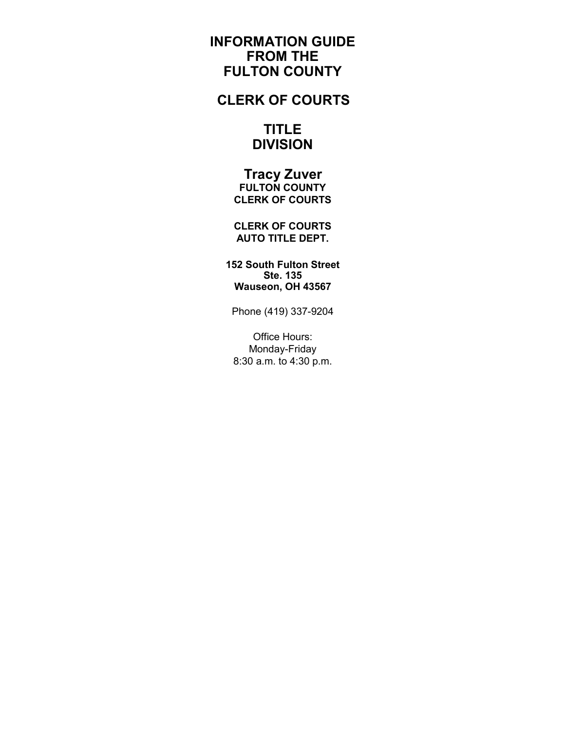# **INFORMATION GUIDE FROM THE FULTON COUNTY**

# **CLERK OF COURTS**

# **TITLE DIVISION**

 **Tracy Zuver FULTON COUNTY CLERK OF COURTS**

**CLERK OF COURTS AUTO TITLE DEPT.**

**152 South Fulton Street Ste. 135 Wauseon, OH 43567**

Phone (419) 337-9204

Office Hours: Monday-Friday 8:30 a.m. to 4:30 p.m.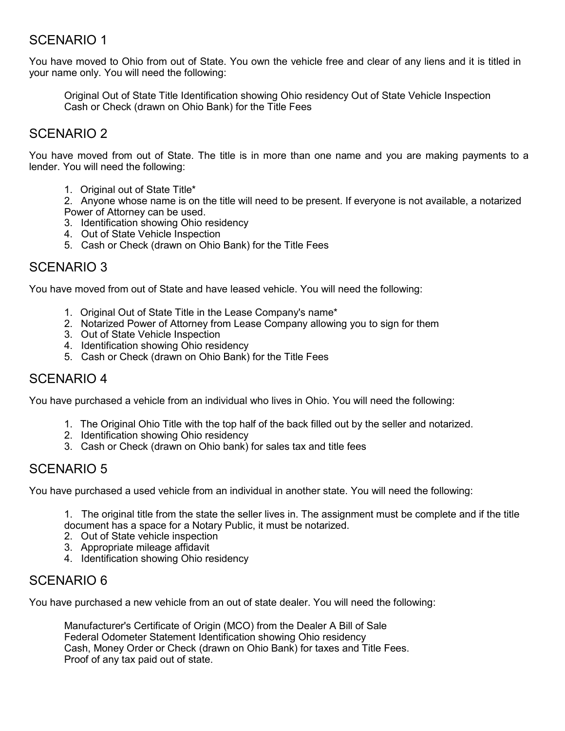# SCENARIO 1

You have moved to Ohio from out of State. You own the vehicle free and clear of any liens and it is titled in your name only. You will need the following:

Original Out of State Title Identification showing Ohio residency Out of State Vehicle Inspection Cash or Check (drawn on Ohio Bank) for the Title Fees

# SCENARIO 2

You have moved from out of State. The title is in more than one name and you are making payments to a lender. You will need the following:

1. Original out of State Title<sup>\*</sup>

2. Anyone whose name is on the title will need to be present. If everyone is not available, a notarized Power of Attorney can be used.

- 3. Identification showing Ohio residency
- 4. Out of State Vehicle Inspection
- 5. Cash or Check (drawn on Ohio Bank) for the Title Fees

# SCENARIO 3

You have moved from out of State and have leased vehicle. You will need the following:

- 1. Original Out of State Title in the Lease Company's name\*
- 2. Notarized Power of Attorney from Lease Company allowing you to sign for them
- 3. Out of State Vehicle Inspection
- 4. Identification showing Ohio residency
- 5. Cash or Check (drawn on Ohio Bank) for the Title Fees

# SCENARIO 4

You have purchased a vehicle from an individual who lives in Ohio. You will need the following:

- 1. The Original Ohio Title with the top half of the back filled out by the seller and notarized.
- 2. Identification showing Ohio residency
- 3. Cash or Check (drawn on Ohio bank) for sales tax and title fees

# SCENARIO 5

You have purchased a used vehicle from an individual in another state. You will need the following:

1. The original title from the state the seller lives in. The assignment must be complete and if the title document has a space for a Notary Public, it must be notarized.

- 2. Out of State vehicle inspection
- 3. Appropriate mileage affidavit
- 4. Identification showing Ohio residency

# SCENARIO 6

You have purchased a new vehicle from an out of state dealer. You will need the following:

Manufacturer's Certificate of Origin (MCO) from the Dealer A Bill of Sale Federal Odometer Statement Identification showing Ohio residency Cash, Money Order or Check (drawn on Ohio Bank) for taxes and Title Fees. Proof of any tax paid out of state.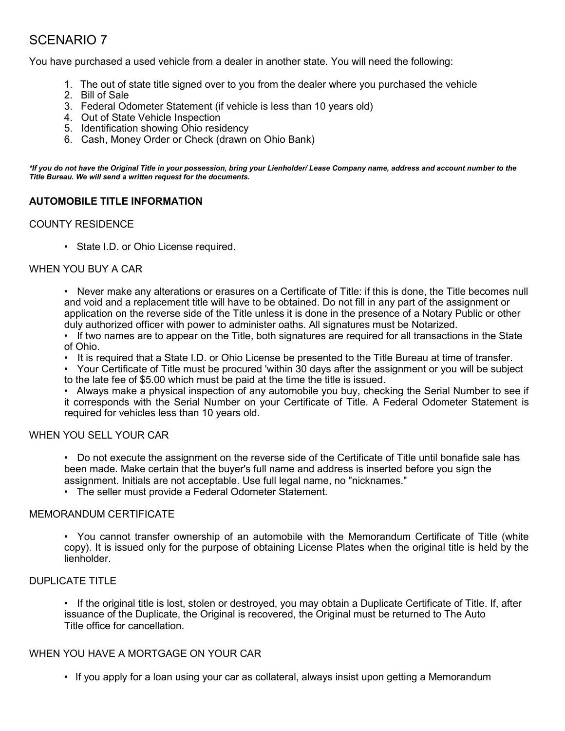# SCENARIO 7

You have purchased a used vehicle from a dealer in another state. You will need the following:

- 1. The out of state title signed over to you from the dealer where you purchased the vehicle
- 2. Bill of Sale
- 3. Federal Odometer Statement (if vehicle is less than 10 years old)
- 4. Out of State Vehicle Inspection
- 5. Identification showing Ohio residency
- 6. Cash, Money Order or Check (drawn on Ohio Bank)

*\*If you do not have the Original Title in your possession, bring your Lienholder/ Lease Company name, address and account number to the Title Bureau. We will send a written request for the documents.*

### **AUTOMOBILE TITLE INFORMATION**

#### COUNTY RESIDENCE

• State I.D. or Ohio License required.

#### WHEN YOU BUY A CAR

• Never make any alterations or erasures on a Certificate of Title: if this is done, the Title becomes null and void and a replacement title will have to be obtained. Do not fill in any part of the assignment or application on the reverse side of the Title unless it is done in the presence of a Notary Public or other duly authorized officer with power to administer oaths. All signatures must be Notarized.

- If two names are to appear on the Title, both signatures are required for all transactions in the State of Ohio.
- It is required that a State I.D. or Ohio License be presented to the Title Bureau at time of transfer.
- Your Certificate of Title must be procured 'within 30 days after the assignment or you will be subject
- to the late fee of \$5.00 which must be paid at the time the title is issued.

• Always make a physical inspection of any automobile you buy, checking the Serial Number to see if it corresponds with the Serial Number on your Certificate of Title. A Federal Odometer Statement is required for vehicles less than 10 years old.

#### WHEN YOU SELL YOUR CAR

• Do not execute the assignment on the reverse side of the Certificate of Title until bonafide sale has been made. Make certain that the buyer's full name and address is inserted before you sign the assignment. Initials are not acceptable. Use full legal name, no "nicknames."

• The seller must provide a Federal Odometer Statement.

#### MEMORANDUM CERTIFICATE

• You cannot transfer ownership of an automobile with the Memorandum Certificate of Title (white copy). It is issued only for the purpose of obtaining License Plates when the original title is held by the lienholder.

## DUPLICATE TITLE

• If the original title is lost, stolen or destroyed, you may obtain a Duplicate Certificate of Title. If, after issuance of the Duplicate, the Original is recovered, the Original must be returned to The Auto Title office for cancellation.

### WHEN YOU HAVE A MORTGAGE ON YOUR CAR

• If you apply for a loan using your car as collateral, always insist upon getting a Memorandum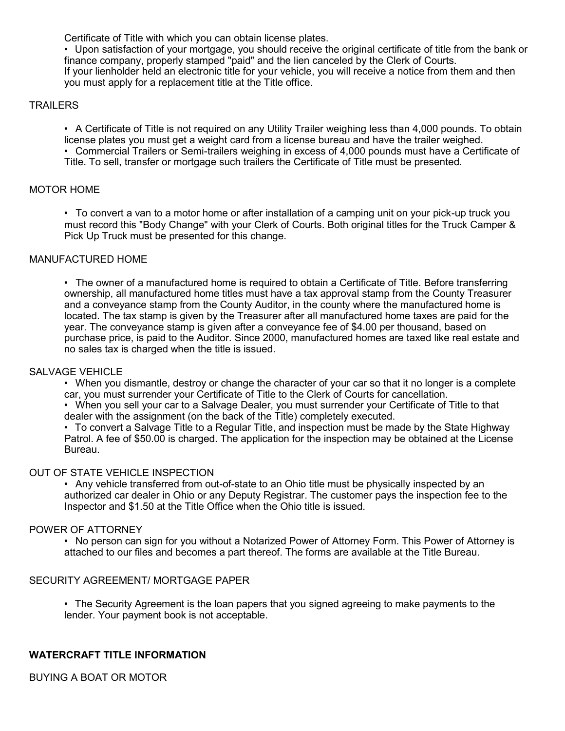Certificate of Title with which you can obtain license plates.

• Upon satisfaction of your mortgage, you should receive the original certificate of title from the bank or finance company, properly stamped "paid" and the lien canceled by the Clerk of Courts. If your lienholder held an electronic title for your vehicle, you will receive a notice from them and then you must apply for a replacement title at the Title office.

## **TRAILERS**

• A Certificate of Title is not required on any Utility Trailer weighing less than 4,000 pounds. To obtain license plates you must get a weight card from a license bureau and have the trailer weighed. • Commercial Trailers or Semi-trailers weighing in excess of 4,000 pounds must have a Certificate of Title. To sell, transfer or mortgage such trailers the Certificate of Title must be presented.

### MOTOR HOME

• To convert a van to a motor home or after installation of a camping unit on your pick-up truck you must record this "Body Change" with your Clerk of Courts. Both original titles for the Truck Camper & Pick Up Truck must be presented for this change.

#### MANUFACTURED HOME

• The owner of a manufactured home is required to obtain a Certificate of Title. Before transferring ownership, all manufactured home titles must have a tax approval stamp from the County Treasurer and a conveyance stamp from the County Auditor, in the county where the manufactured home is located. The tax stamp is given by the Treasurer after all manufactured home taxes are paid for the year. The conveyance stamp is given after a conveyance fee of \$4.00 per thousand, based on purchase price, is paid to the Auditor. Since 2000, manufactured homes are taxed like real estate and no sales tax is charged when the title is issued.

#### SALVAGE VEHICLE

• When you dismantle, destroy or change the character of your car so that it no longer is a complete car, you must surrender your Certificate of Title to the Clerk of Courts for cancellation.

• When you sell your car to a Salvage Dealer, you must surrender your Certificate of Title to that dealer with the assignment (on the back of the Title) completely executed.

• To convert a Salvage Title to a Regular Title, and inspection must be made by the State Highway Patrol. A fee of \$50.00 is charged. The application for the inspection may be obtained at the License Bureau.

#### OUT OF STATE VEHICLE INSPECTION

• Any vehicle transferred from out-of-state to an Ohio title must be physically inspected by an authorized car dealer in Ohio or any Deputy Registrar. The customer pays the inspection fee to the Inspector and \$1.50 at the Title Office when the Ohio title is issued.

#### POWER OF ATTORNEY

• No person can sign for you without a Notarized Power of Attorney Form. This Power of Attorney is attached to our files and becomes a part thereof. The forms are available at the Title Bureau.

#### SECURITY AGREEMENT/ MORTGAGE PAPER

• The Security Agreement is the loan papers that you signed agreeing to make payments to the lender. Your payment book is not acceptable.

### **WATERCRAFT TITLE INFORMATION**

BUYING A BOAT OR MOTOR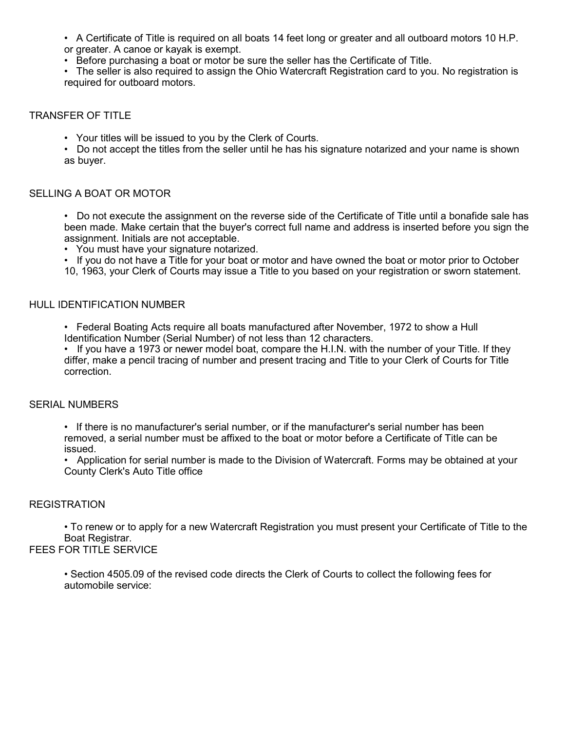• A Certificate of Title is required on all boats 14 feet long or greater and all outboard motors 10 H.P. or greater. A canoe or kayak is exempt.

• Before purchasing a boat or motor be sure the seller has the Certificate of Title.

• The seller is also required to assign the Ohio Watercraft Registration card to you. No registration is required for outboard motors.

#### TRANSFER OF TITLE

• Your titles will be issued to you by the Clerk of Courts.

• Do not accept the titles from the seller until he has his signature notarized and your name is shown as buyer.

#### SELLING A BOAT OR MOTOR

• Do not execute the assignment on the reverse side of the Certificate of Title until a bonafide sale has been made. Make certain that the buyer's correct full name and address is inserted before you sign the assignment. Initials are not acceptable.

• You must have your signature notarized.

• If you do not have a Title for your boat or motor and have owned the boat or motor prior to October

10, 1963, your Clerk of Courts may issue a Title to you based on your registration or sworn statement.

### HULL IDENTIFICATION NUMBER

• Federal Boating Acts require all boats manufactured after November, 1972 to show a Hull Identification Number (Serial Number) of not less than 12 characters.

• If you have a 1973 or newer model boat, compare the H.I.N. with the number of your Title. If they differ, make a pencil tracing of number and present tracing and Title to your Clerk of Courts for Title correction.

#### SERIAL NUMBERS

• If there is no manufacturer's serial number, or if the manufacturer's serial number has been removed, a serial number must be affixed to the boat or motor before a Certificate of Title can be issued.

• Application for serial number is made to the Division of Watercraft. Forms may be obtained at your County Clerk's Auto Title office

### REGISTRATION

• To renew or to apply for a new Watercraft Registration you must present your Certificate of Title to the Boat Registrar.

## FEES FOR TITLE SERVICE

• Section 4505.09 of the revised code directs the Clerk of Courts to collect the following fees for automobile service: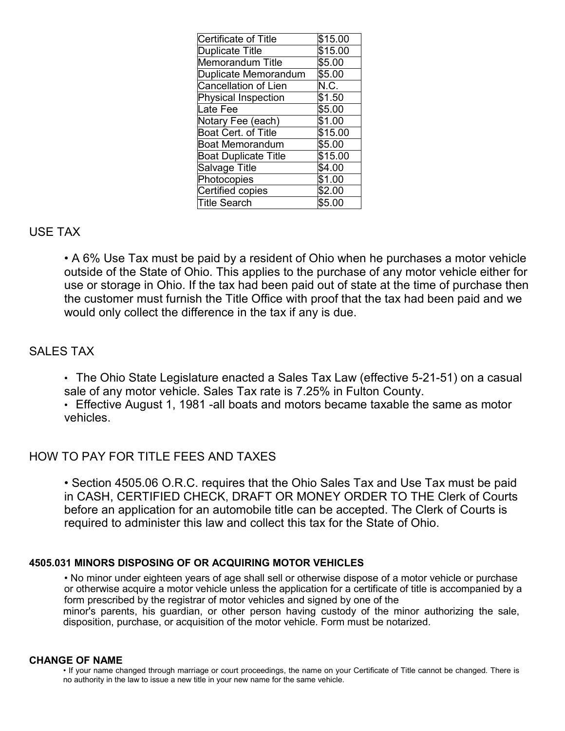| <b>Certificate of Title</b> | \$15.00 |
|-----------------------------|---------|
| <b>Duplicate Title</b>      | \$15.00 |
| <b>Memorandum Title</b>     | \$5.00  |
| Duplicate Memorandum        | \$5.00  |
| Cancellation of Lien        | N.C.    |
| <b>Physical Inspection</b>  | \$1.50  |
| Late Fee                    | \$5.00  |
| Notary Fee (each)           | \$1.00  |
| Boat Cert. of Title         | \$15.00 |
| <b>Boat Memorandum</b>      | \$5.00  |
| <b>Boat Duplicate Title</b> | \$15.00 |
| Salvage Title               | \$4.00  |
| Photocopies                 | \$1.00  |
| Certified copies            | \$2.00  |
| Title Search                | \$5.00  |

## USE TAX

• A 6% Use Tax must be paid by a resident of Ohio when he purchases a motor vehicle outside of the State of Ohio. This applies to the purchase of any motor vehicle either for use or storage in Ohio. If the tax had been paid out of state at the time of purchase then the customer must furnish the Title Office with proof that the tax had been paid and we would only collect the difference in the tax if any is due.

# SALES TAX

• The Ohio State Legislature enacted a Sales Tax Law (effective 5-21-51) on a casual sale of any motor vehicle. Sales Tax rate is 7.25% in Fulton County.

• Effective August 1, 1981 -all boats and motors became taxable the same as motor vehicles.

# HOW TO PAY FOR TITLE FEES AND TAXES

• Section 4505.06 O.R.C. requires that the Ohio Sales Tax and Use Tax must be paid in CASH, CERTIFIED CHECK, DRAFT OR MONEY ORDER TO THE Clerk of Courts before an application for an automobile title can be accepted. The Clerk of Courts is required to administer this law and collect this tax for the State of Ohio.

### **4505.031 MINORS DISPOSING OF OR ACQUIRING MOTOR VEHICLES**

• No minor under eighteen years of age shall sell or otherwise dispose of a motor vehicle or purchase or otherwise acquire a motor vehicle unless the application for a certificate of title is accompanied by a form prescribed by the registrar of motor vehicles and signed by one of the minor's parents, his guardian, or other person having custody of the minor authorizing the sale, disposition, purchase, or acquisition of the motor vehicle. Form must be notarized.

### **CHANGE OF NAME**

• If your name changed through marriage or court proceedings, the name on your Certificate of Title cannot be changed. There is no authority in the law to issue a new title in your new name for the same vehicle.